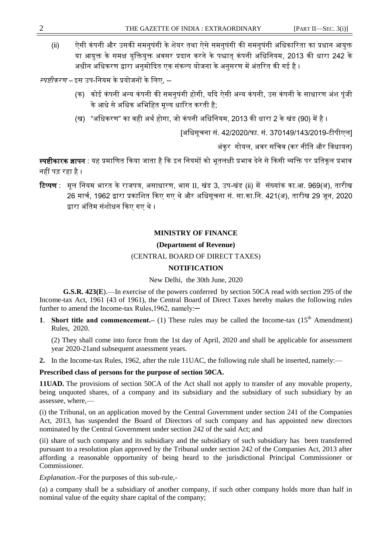### **MINISTRY OF FINANCE**

#### **(Department of Revenue)**

### (CENTRAL BOARD OF DIRECT TAXES)

# **NOTIFICATION**

New Delhi, the 30th June, 2020

**G.S.R. 423(E**).—In exercise of the powers conferred by section 50CA read with section 295 of the Income-tax Act, 1961 (43 of 1961), the Central Board of Direct Taxes hereby makes the following rules further to amend the Income-tax Rules,1962, namely:—

**1. Short title and commencement.**— (1) These rules may be called the Income-tax  $(15<sup>th</sup>$  Amendment) Rules, 2020.

(2) They shall come into force from the 1st day of April, 2020 and shall be applicable for assessment year 2020-21and subsequent assessment years.

**2.** In the Income-tax Rules, 1962, after the rule 11UAC, the following rule shall be inserted, namely:—

# **Prescribed class of persons for the purpose of section 50CA.**

**11UAD.** The provisions of section 50CA of the Act shall not apply to transfer of any movable property, being unquoted shares, of a company and its subsidiary and the subsidiary of such subsidiary by an assessee, where,—

(i) the Tribunal, on an application moved by the Central Government under section 241 of the Companies Act, 2013, has suspended the Board of Directors of such company and has appointed new directors nominated by the Central Government under section 242 of the said Act; and

(ii) share of such company and its subsidiary and the subsidiary of such subsidiary has been transferred pursuant to a resolution plan approved by the Tribunal under section 242 of the Companies Act, 2013 after affording a reasonable opportunity of being heard to the jurisdictional Principal Commissioner or Commissioner.

*Explanation.-*For the purposes of this sub-rule,-

(a) a company shall be a subsidiary of another company, if such other company holds more than half in nominal value of the equity share capital of the company;